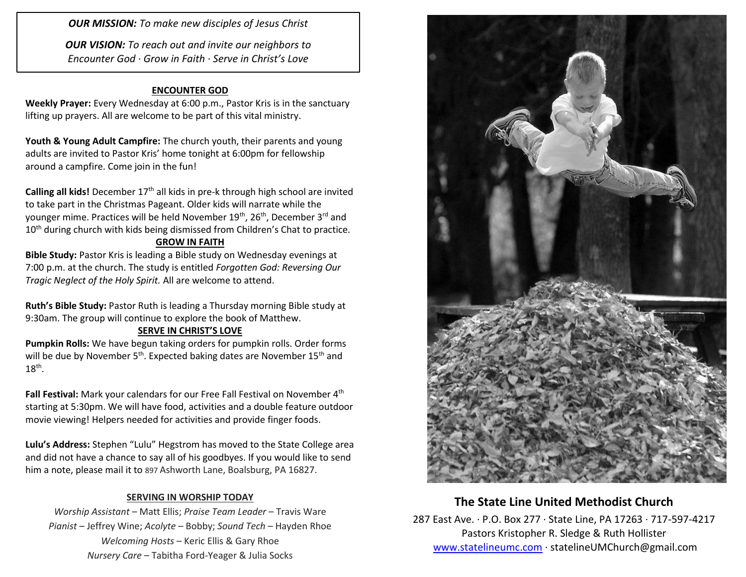*OUR MISSION: To make new disciples of Jesus Christ*

*OUR VISION: To reach out and invite our neighbors to Encounter God · Grow in Faith · Serve in Christ's Love*

#### **ENCOUNTER GOD**

**Weekly Prayer:** Every Wednesday at 6:00 p.m., Pastor Kris is in the sanctuary lifting up prayers. All are welcome to be part of this vital ministry.

**Youth & Young Adult Campfire:** The church youth, their parents and young adults are invited to Pastor Kris' home tonight at 6:00pm for fellowship around a campfire. Come join in the fun!

Calling all kids! December 17<sup>th</sup> all kids in pre-k through high school are invited to take part in the Christmas Pageant. Older kids will narrate while the younger mime. Practices will be held November 19<sup>th</sup>, 26<sup>th</sup>, December 3<sup>rd</sup> and 10<sup>th</sup> during church with kids being dismissed from Children's Chat to practice.

### **GROW IN FAITH**

**Bible Study:** Pastor Kris is leading a Bible study on Wednesday evenings at 7:00 p.m. at the church. The study is entitled *Forgotten God: Reversing Our Tragic Neglect of the Holy Spirit.* All are welcome to attend.

**Ruth's Bible Study:** Pastor Ruth is leading a Thursday morning Bible study at 9:30am. The group will continue to explore the book of Matthew.

### **SERVE IN CHRIST'S LOVE**

**Pumpkin Rolls:** We have begun taking orders for pumpkin rolls. Order forms will be due by November  $5<sup>th</sup>$ . Expected baking dates are November  $15<sup>th</sup>$  and  $18^\mathrm{th}$ .

Fall Festival: Mark your calendars for our Free Fall Festival on November 4<sup>th</sup> starting at 5:30pm. We will have food, activities and a double feature outdoor movie viewing! Helpers needed for activities and provide finger foods.

**Lulu's Address:** Stephen "Lulu" Hegstrom has moved to the State College area and did not have a chance to say all of his goodbyes. If you would like to send him a note, please mail it to 897 Ashworth Lane, Boalsburg, PA 16827.

#### **SERVING IN WORSHIP TODAY**

*Worship Assistant* – Matt Ellis; *Praise Team Leader* – Travis Ware *Pianist* – Jeffrey Wine; *Acolyte* – Bobby; *Sound Tech* – Hayden Rhoe *Welcoming Hosts* – Keric Ellis & Gary Rhoe *Nursery Care* – Tabitha Ford-Yeager & Julia Socks



## **The State Line United Methodist Church**

287 East Ave. · P.O. Box 277 · State Line, PA 17263 · 717-597-4217 Pastors Kristopher R. Sledge & Ruth Hollister [www.statelineumc.com](http://www.statelineumc.com/) · statelineUMChurch@gmail.com